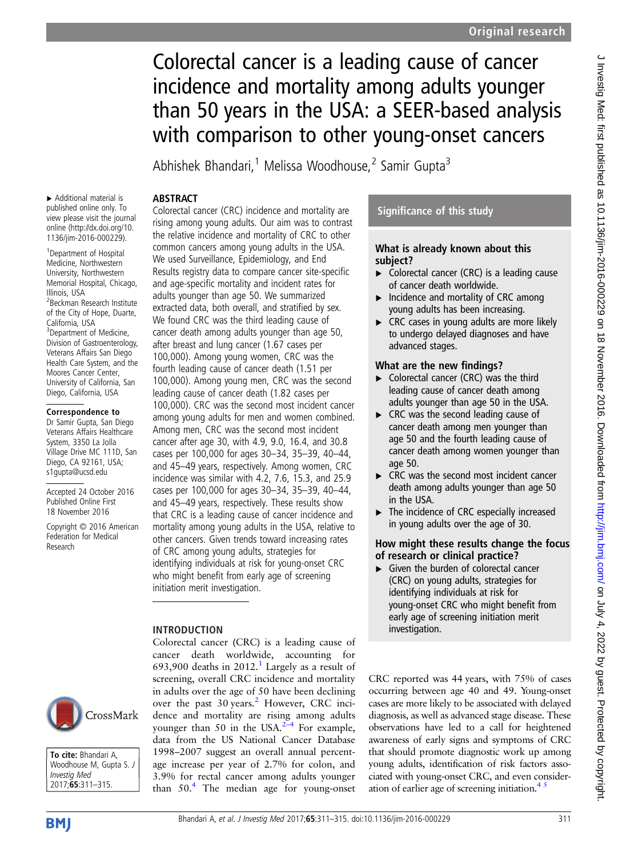# Colorectal cancer is a leading cause of cancer incidence and mortality among adults younger than 50 years in the USA: a SEER-based analysis with comparison to other young-onset cancers

Abhishek Bhandari,<sup>1</sup> Melissa Woodhouse,<sup>2</sup> Samir Gupta<sup>3</sup>

## ABSTRACT

▸ Additional material is published online only. To view please visit the journal online ([http://dx.doi.org/10.](http://dx.doi.org/10.1136/jim-2016-000229) [1136/jim-2016-000229\)](http://dx.doi.org/10.1136/jim-2016-000229).

<sup>1</sup> Department of Hospital Medicine, Northwestern University, Northwestern Memorial Hospital, Chicago, Illinois, USA <sup>2</sup> Beckman Research Institute of the City of Hope, Duarte, California, USA <sup>3</sup>Department of Medicine, Division of Gastroenterology, Veterans Affairs San Diego Health Care System, and the Moores Cancer Center, University of California, San Diego, California, USA

## Correspondence to

Dr Samir Gupta, San Diego Veterans Affairs Healthcare System, 3350 La Jolla Village Drive MC 111D, San Diego, CA 92161, USA; s1gupta@ucsd.edu

Accepted 24 October 2016 Published Online First 18 November 2016

Copyright © 2016 American Federation for Medical Research

Colorectal cancer (CRC) incidence and mortality are rising among young adults. Our aim was to contrast the relative incidence and mortality of CRC to other common cancers among young adults in the USA. We used Surveillance, Epidemiology, and End Results registry data to compare cancer site-specific and age-specific mortality and incident rates for adults younger than age 50. We summarized extracted data, both overall, and stratified by sex. We found CRC was the third leading cause of cancer death among adults younger than age 50, after breast and lung cancer (1.67 cases per 100,000). Among young women, CRC was the fourth leading cause of cancer death (1.51 per 100,000). Among young men, CRC was the second leading cause of cancer death (1.82 cases per 100,000). CRC was the second most incident cancer among young adults for men and women combined. Among men, CRC was the second most incident cancer after age 30, with 4.9, 9.0, 16.4, and 30.8 cases per 100,000 for ages 30–34, 35–39, 40–44, and 45–49 years, respectively. Among women, CRC incidence was similar with 4.2, 7.6, 15.3, and 25.9 cases per 100,000 for ages 30–34, 35–39, 40–44, and 45–49 years, respectively. These results show that CRC is a leading cause of cancer incidence and mortality among young adults in the USA, relative to other cancers. Given trends toward increasing rates of CRC among young adults, strategies for identifying individuals at risk for young-onset CRC who might benefit from early age of screening initiation merit investigation.

## INTRODUCTION

Colorectal cancer (CRC) is a leading cause of cancer death worldwide, accounting for 693,900 deaths in  $2012$  $2012$  $2012$ .<sup>1</sup> Largely as a result of screening, overall CRC incidence and mortality in adults over the age of 50 have been declining over the past 30 years.<sup>2</sup> However, CRC incidence and mortality are rising among adults younger than 50 in the USA. $2-4$  $2-4$  For example, data from the US National Cancer Database 1998–2007 suggest an overall annual percentage increase per year of 2.7% for colon, and 3.9% for rectal cancer among adults younger than  $50<sup>4</sup>$ . The median age for young-onset

## Significance of this study

## What is already known about this subject?

- ▸ Colorectal cancer (CRC) is a leading cause of cancer death worldwide.
- ▸ Incidence and mortality of CRC among young adults has been increasing.
- $\triangleright$  CRC cases in young adults are more likely to undergo delayed diagnoses and have advanced stages.

## What are the new findings?

- ▸ Colorectal cancer (CRC) was the third leading cause of cancer death among adults younger than age 50 in the USA.
- ▸ CRC was the second leading cause of cancer death among men younger than age 50 and the fourth leading cause of cancer death among women younger than age 50.
- ▶ CRC was the second most incident cancer death among adults younger than age 50 in the USA.
- ▸ The incidence of CRC especially increased in young adults over the age of 30.

## How might these results change the focus of research or clinical practice?

Given the burden of colorectal cancer (CRC) on young adults, strategies for identifying individuals at risk for young-onset CRC who might benefit from early age of screening initiation merit investigation.

CRC reported was 44 years, with 75% of cases occurring between age 40 and 49. Young-onset cases are more likely to be associated with delayed diagnosis, as well as advanced stage disease. These observations have led to a call for heightened awareness of early signs and symptoms of CRC that should promote diagnostic work up among young adults, identification of risk factors associated with young-onset CRC, and even consideration of earlier age of screening initiation. $4<sup>5</sup>$ 

**BMI** 

To cite: Bhandari A, Woodhouse M, Gupta S. J

CrossMark

Investig Med 2017;65:311–315.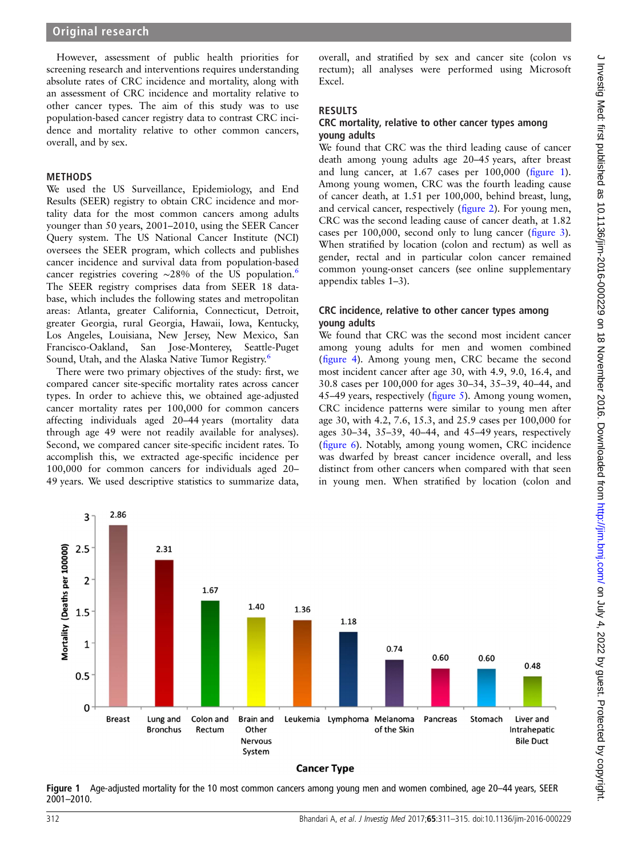However, assessment of public health priorities for screening research and interventions requires understanding absolute rates of CRC incidence and mortality, along with an assessment of CRC incidence and mortality relative to other cancer types. The aim of this study was to use population-based cancer registry data to contrast CRC incidence and mortality relative to other common cancers, overall, and by sex.

#### METHODS

We used the US Surveillance, Epidemiology, and End Results (SEER) registry to obtain CRC incidence and mortality data for the most common cancers among adults younger than 50 years, 2001–2010, using the SEER Cancer Query system. The US National Cancer Institute (NCI) oversees the SEER program, which collects and publishes cancer incidence and survival data from population-based cancer registries covering ∼28% of the US population.[6](#page-4-0) The SEER registry comprises data from SEER 18 database, which includes the following states and metropolitan areas: Atlanta, greater California, Connecticut, Detroit, greater Georgia, rural Georgia, Hawaii, Iowa, Kentucky, Los Angeles, Louisiana, New Jersey, New Mexico, San Francisco-Oakland, San Jose-Monterey, Seattle-Puget Sound, Utah, and the Alaska Native Tumor Registry.<sup>[6](#page-4-0)</sup>

There were two primary objectives of the study: first, we compared cancer site-specific mortality rates across cancer types. In order to achieve this, we obtained age-adjusted cancer mortality rates per 100,000 for common cancers affecting individuals aged 20–44 years (mortality data through age 49 were not readily available for analyses). Second, we compared cancer site-specific incident rates. To accomplish this, we extracted age-specific incidence per 100,000 for common cancers for individuals aged 20– 49 years. We used descriptive statistics to summarize data,

overall, and stratified by sex and cancer site (colon vs rectum); all analyses were performed using Microsoft Excel.

#### RESULTS

#### CRC mortality, relative to other cancer types among young adults

We found that CRC was the third leading cause of cancer death among young adults age 20–45 years, after breast and lung cancer, at 1.67 cases per 100,000 (figure 1). Among young women, CRC was the fourth leading cause of cancer death, at 1.51 per 100,000, behind breast, lung, and cervical cancer, respectively (fi[gure 2](#page-2-0)). For young men, CRC was the second leading cause of cancer death, at 1.82 cases per 100,000, second only to lung cancer (fi[gure 3\)](#page-2-0). When stratified by location (colon and rectum) as well as gender, rectal and in particular colon cancer remained common young-onset cancers (see online [supplementary](http://dx.doi.org/10.1136/jim-2016-000229) [appendix tables 1](http://dx.doi.org/10.1136/jim-2016-000229)–3).

#### CRC incidence, relative to other cancer types among young adults

We found that CRC was the second most incident cancer among young adults for men and women combined (fi[gure 4\)](#page-3-0). Among young men, CRC became the second most incident cancer after age 30, with 4.9, 9.0, 16.4, and 30.8 cases per 100,000 for ages 30–34, 35–39, 40–44, and 45–49 years, respectively (fi[gure 5\)](#page-3-0). Among young women, CRC incidence patterns were similar to young men after age 30, with 4.2, 7.6, 15.3, and 25.9 cases per 100,000 for ages 30–34, 35–39, 40–44, and 45–49 years, respectively (fi[gure 6\)](#page-4-0). Notably, among young women, CRC incidence was dwarfed by breast cancer incidence overall, and less distinct from other cancers when compared with that seen in young men. When stratified by location (colon and



Figure 1 Age-adjusted mortality for the 10 most common cancers among young men and women combined, age 20–44 years, SEER 2001–2010.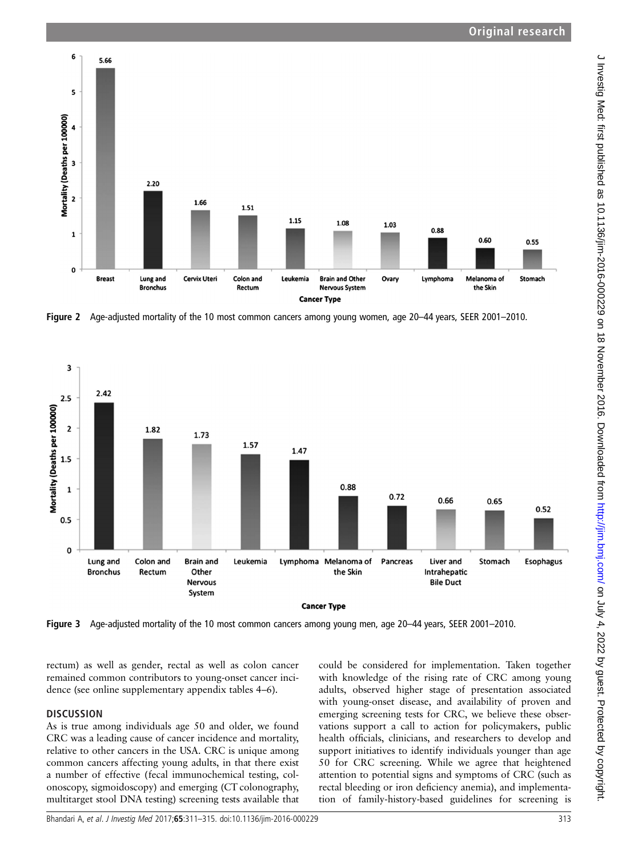<span id="page-2-0"></span>

Figure 2 Age-adjusted mortality of the 10 most common cancers among young women, age 20–44 years, SEER 2001–2010.



Figure 3 Age-adjusted mortality of the 10 most common cancers among young men, age 20–44 years, SEER 2001–2010.

rectum) as well as gender, rectal as well as colon cancer remained common contributors to young-onset cancer incidence (see online [supplementary appendix tables 4](http://dx.doi.org/10.1136/jim-2016-000229)–6).

### **DISCUSSION**

As is true among individuals age 50 and older, we found CRC was a leading cause of cancer incidence and mortality, relative to other cancers in the USA. CRC is unique among common cancers affecting young adults, in that there exist a number of effective (fecal immunochemical testing, colonoscopy, sigmoidoscopy) and emerging (CT colonography, multitarget stool DNA testing) screening tests available that could be considered for implementation. Taken together with knowledge of the rising rate of CRC among young adults, observed higher stage of presentation associated with young-onset disease, and availability of proven and emerging screening tests for CRC, we believe these observations support a call to action for policymakers, public health officials, clinicians, and researchers to develop and support initiatives to identify individuals younger than age 50 for CRC screening. While we agree that heightened attention to potential signs and symptoms of CRC (such as rectal bleeding or iron deficiency anemia), and implementation of family-history-based guidelines for screening is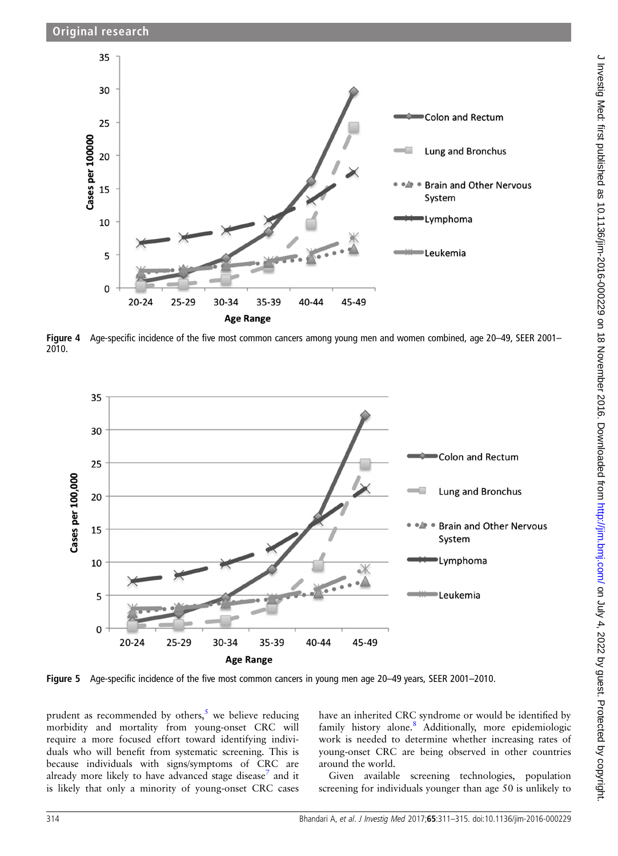<span id="page-3-0"></span>

Figure 4 Age-specific incidence of the five most common cancers among young men and women combined, age 20–49, SEER 2001– 2010.



Figure 5 Age-specific incidence of the five most common cancers in young men age 20–49 years, SEER 2001–2010.

prudent as recommended by others, $5$  we believe reducing morbidity and mortality from young-onset CRC will require a more focused effort toward identifying individuals who will benefit from systematic screening. This is because individuals with signs/symptoms of CRC are already more likely to have advanced stage disease<sup>[7](#page-4-0)</sup> and it is likely that only a minority of young-onset CRC cases

have an inherited CRC syndrome or would be identified by family history alone.<sup>[8](#page-4-0)</sup> Additionally, more epidemiologic work is needed to determine whether increasing rates of young-onset CRC are being observed in other countries around the world.

Given available screening technologies, population screening for individuals younger than age 50 is unlikely to